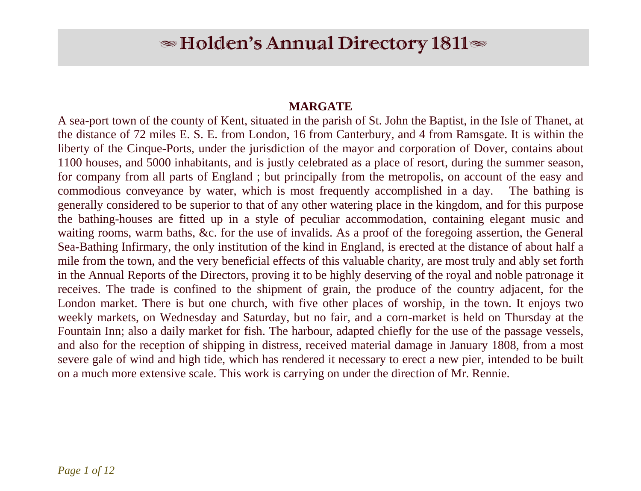# $\blacktriangleright$  Holden's Annual Directory 1811 $\blacktriangleright$

## **MARGATE**

A sea-port town of the county of Kent, situated in the parish of St. John the Baptist, in the Isle of Thanet, at the distance of 72 miles E. S. E. from London, 16 from Canterbury, and 4 from Ramsgate. It is within the liberty of the Cinque-Ports, under the jurisdiction of the mayor and corporation of Dover, contains about 1100 houses, and 5000 inhabitants, and is justly celebrated as a place of resort, during the summer season, for company from all parts of England ; but principally from the metropolis, on account of the easy and commodious conveyance by water, which is most frequently accomplished in a day. The bathing is generally considered to be superior to that of any other watering place in the kingdom, and for this purpose the bathing-houses are fitted up in a style of peculiar accommodation, containing elegant music and waiting rooms, warm baths, &c. for the use of invalids. As a proof of the foregoing assertion, the General Sea-Bathing Infirmary, the only institution of the kind in England, is erected at the distance of about half a mile from the town, and the very beneficial effects of this valuable charity, are most truly and ably set forth in the Annual Reports of the Directors, proving it to be highly deserving of the royal and noble patronage it receives. The trade is confined to the shipment of grain, the produce of the country adjacent, for the London market. There is but one church, with five other places of worship, in the town. It enjoys two weekly markets, on Wednesday and Saturday, but no fair, and a corn-market is held on Thursday at the Fountain Inn; also a daily market for fish. The harbour, adapted chiefly for the use of the passage vessels, and also for the reception of shipping in distress, received material damage in January 1808, from a most severe gale of wind and high tide, which has rendered it necessary to erect a new pier, intended to be built on a much more extensive scale. This work is carrying on under the direction of Mr. Rennie.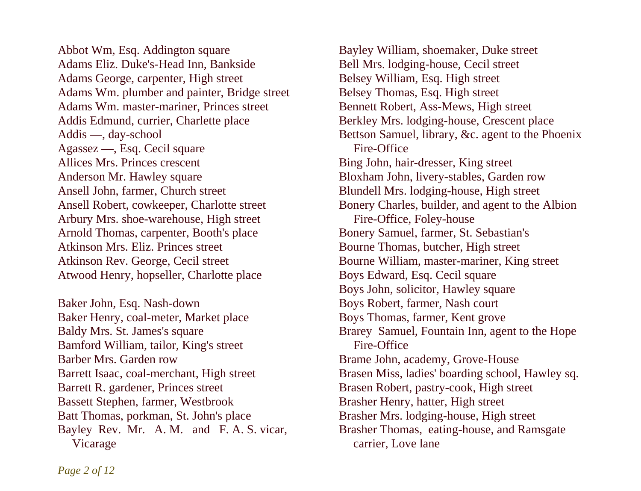Abbot Wm, Esq. Addington square Adams Eliz. Duke's-Head Inn, Bankside Adams George, carpenter, High street Adams Wm. plumber and painter, Bridge street Adams Wm. master-mariner, Princes street Addis Edmund, currier, Charlette place Addis —, day-school Agassez —, Esq. Cecil square Allices Mrs. Princes crescent Anderson Mr. Hawley square Ansell John, farmer, Church street Ansell Robert, cowkeeper, Charlotte street Arbury Mrs. shoe-warehouse, High street Arnold Thomas, carpenter, Booth's place Atkinson Mrs. Eliz. Princes street Atkinson Rev. George, Cecil street Atwood Henry, hopseller, Charlotte place

Baker John, Esq. Nash-down Baker Henry, coal-meter, Market place Baldy Mrs. St. James's square Bamford William, tailor, King's street Barber Mrs. Garden row Barrett Isaac, coal-merchant, High street Barrett R. gardener, Princes street Bassett Stephen, farmer, Westbrook Batt Thomas, porkman, St. John's place Bayley Rev. Mr. A. M. and F. A. S. vicar, Vicarage

Bayley William, shoemaker, Duke street Bell Mrs. lodging-house, Cecil street Belsey William, Esq. High street Belsey Thomas, Esq. High street Bennett Robert, Ass-Mews, High street Berkley Mrs. lodging-house, Crescent place Bettson Samuel, library, &c. agent to the Phoenix Fire-Office Bing John, hair-dresser, King street Bloxham John, livery-stables, Garden row Blundell Mrs. lodging-house, High street Bonery Charles, builder, and agent to the Albion Fire-Office, Foley-house Bonery Samuel, farmer, St. Sebastian's Bourne Thomas, butcher, High street Bourne William, master-mariner, King street Boys Edward, Esq. Cecil square Boys John, solicitor, Hawley square Boys Robert, farmer, Nash court Boys Thomas, farmer, Kent grove Brarey Samuel, Fountain Inn, agent to the Hope Fire-Office Brame John, academy, Grove-House Brasen Miss, ladies' boarding school, Hawley sq. Brasen Robert, pastry-cook, High street Brasher Henry, hatter, High street Brasher Mrs. lodging-house, High street Brasher Thomas, eating-house, and Ramsgate carrier, Love lane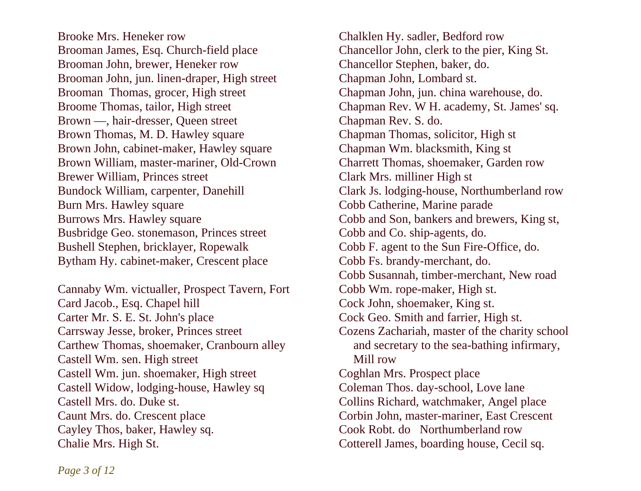Brooke Mrs. Heneker row Brooman James, Esq. Church-field place Brooman John, brewer, Heneker row Brooman John, jun. linen-draper, High street Brooman Thomas, grocer, High street Broome Thomas, tailor, High street Brown —, hair-dresser, Queen street Brown Thomas, M. D. Hawley square Brown John, cabinet-maker, Hawley square Brown William, master-mariner, Old-Crown Brewer William, Princes street Bundock William, carpenter, Danehill Burn Mrs. Hawley square Burrows Mrs. Hawley square Busbridge Geo. stonemason, Princes street Bushell Stephen, bricklayer, Ropewalk Bytham Hy. cabinet-maker, Crescent place

Cannaby Wm. victualler, Prospect Tavern, Fort Card Jacob., Esq. Chapel hill Carter Mr. S. E. St. John's place Carrsway Jesse, broker, Princes street Carthew Thomas, shoemaker, Cranbourn alley Castell Wm. sen. High street Castell Wm. jun. shoemaker, High street Castell Widow, lodging-house, Hawley sq Castell Mrs. do. Duke st. Caunt Mrs. do. Crescent place Cayley Thos, baker, Hawley sq. Chalie Mrs. High St.

Chalklen Hy. sadler, Bedford row Chancellor John, clerk to the pier, King St. Chancellor Stephen, baker, do. Chapman John, Lombard st. Chapman John, jun. china warehouse, do. Chapman Rev. W H. academy, St. James' sq. Chapman Rev. S. do. Chapman Thomas, solicitor, High st Chapman Wm. blacksmith, King st Charrett Thomas, shoemaker, Garden row Clark Mrs. milliner High st Clark Js. lodging-house, Northumberland row Cobb Catherine, Marine parade Cobb and Son, bankers and brewers, King st, Cobb and Co. ship-agents, do. Cobb F. agent to the Sun Fire-Office, do. Cobb Fs. brandy-merchant, do. Cobb Susannah, timber-merchant, New road Cobb Wm. rope-maker, High st. Cock John, shoemaker, King st. Cock Geo. Smith and farrier, High st. Cozens Zachariah, master of the charity school and secretary to the sea-bathing infirmary, Mill row Coghlan Mrs. Prospect place Coleman Thos. day-school, Love lane Collins Richard, watchmaker, Angel place Corbin John, master-mariner, East Crescent Cook Robt. do Northumberland row Cotterell James, boarding house, Cecil sq.

*Page 3 of 12*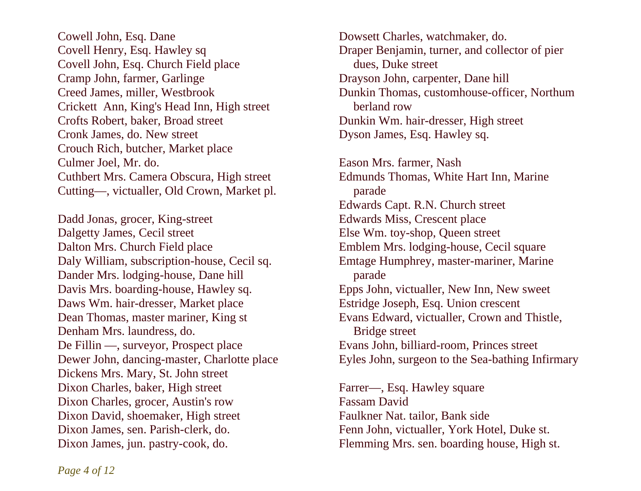Cowell John, Esq. Dane Covell Henry, Esq. Hawley sq Covell John, Esq. Church Field place Cramp John, farmer, Garlinge Creed James, miller, Westbrook Crickett Ann, King's Head Inn, High street Crofts Robert, baker, Broad street Cronk James, do. New street Crouch Rich, butcher, Market place Culmer Joel, Mr. do. Cuthbert Mrs. Camera Obscura, High street Cutting—, victualler, Old Crown, Market pl.

Dadd Jonas, grocer, King-street Dalgetty James, Cecil street Dalton Mrs. Church Field place Daly William, subscription-house, Cecil sq. Dander Mrs. lodging-house, Dane hill Davis Mrs. boarding-house, Hawley sq. Daws Wm. hair-dresser, Market place Dean Thomas, master mariner, King st Denham Mrs. laundress, do. De Fillin —, surveyor, Prospect place Dewer John, dancing-master, Charlotte place Dickens Mrs. Mary, St. John street Dixon Charles, baker, High street Dixon Charles, grocer, Austin's row Dixon David, shoemaker, High street Dixon James, sen. Parish-clerk, do. Dixon James, jun. pastry-cook, do.

Dowsett Charles, watchmaker, do. Draper Benjamin, turner, and collector of pier dues, Duke street Drayson John, carpenter, Dane hill Dunkin Thomas, customhouse-officer, Northum berland row Dunkin Wm. hair-dresser, High street Dyson James, Esq. Hawley sq.

Eason Mrs. farmer, Nash Edmunds Thomas, White Hart Inn, Marine parade Edwards Capt. R.N. Church street Edwards Miss, Crescent place Else Wm. toy-shop, Queen street Emblem Mrs. lodging-house, Cecil square Emtage Humphrey, master-mariner, Marine parade Epps John, victualler, New Inn, New sweet Estridge Joseph, Esq. Union crescent Evans Edward, victualler, Crown and Thistle, Bridge street Evans John, billiard-room, Princes street Eyles John, surgeon to the Sea-bathing Infirmary

Farrer—, Esq. Hawley square Fassam David Faulkner Nat. tailor, Bank side Fenn John, victualler, York Hotel, Duke st. Flemming Mrs. sen. boarding house, High st.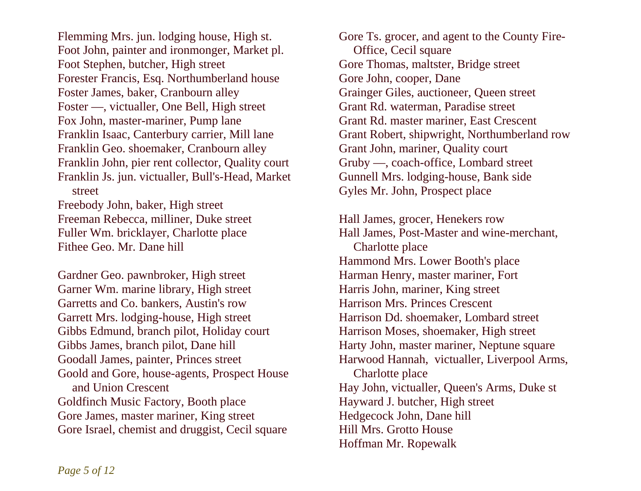Flemming Mrs. jun. lodging house, High st. Foot John, painter and ironmonger, Market pl. Foot Stephen, butcher, High street Forester Francis, Esq. Northumberland house Foster James, baker, Cranbourn alley Foster —, victualler, One Bell, High street Fox John, master-mariner, Pump lane Franklin Isaac, Canterbury carrier, Mill lane Franklin Geo. shoemaker, Cranbourn alley Franklin John, pier rent collector, Quality court Franklin Js. jun. victualler, Bull's-Head, Market street

Freebody John, baker, High street Freeman Rebecca, milliner, Duke street Fuller Wm. bricklayer, Charlotte place Fithee Geo. Mr. Dane hill

Gardner Geo. pawnbroker, High street Garner Wm. marine library, High street Garretts and Co. bankers, Austin's row Garrett Mrs. lodging-house, High street Gibbs Edmund, branch pilot, Holiday court Gibbs James, branch pilot, Dane hill Goodall James, painter, Princes street Goold and Gore, house-agents, Prospect House and Union Crescent Goldfinch Music Factory, Booth place Gore James, master mariner, King street Gore Israel, chemist and druggist, Cecil square

Gore Ts. grocer, and agent to the County Fire- Office, Cecil square Gore Thomas, maltster, Bridge street Gore John, cooper, Dane Grainger Giles, auctioneer, Queen street Grant Rd. waterman, Paradise street Grant Rd. master mariner, East Crescent Grant Robert, shipwright, Northumberland row Grant John, mariner, Quality court Gruby —, coach-office, Lombard street Gunnell Mrs. lodging-house, Bank side Gyles Mr. John, Prospect place

Hall James, grocer, Henekers row Hall James, Post-Master and wine-merchant, Charlotte place Hammond Mrs. Lower Booth's place Harman Henry, master mariner, Fort Harris John, mariner, King street Harrison Mrs. Princes Crescent Harrison Dd. shoemaker, Lombard street Harrison Moses, shoemaker, High street Harty John, master mariner, Neptune square Harwood Hannah, victualler, Liverpool Arms, Charlotte place Hay John, victualler, Queen's Arms, Duke st Hayward J. butcher, High street Hedgecock John, Dane hill Hill Mrs. Grotto House Hoffman Mr. Ropewalk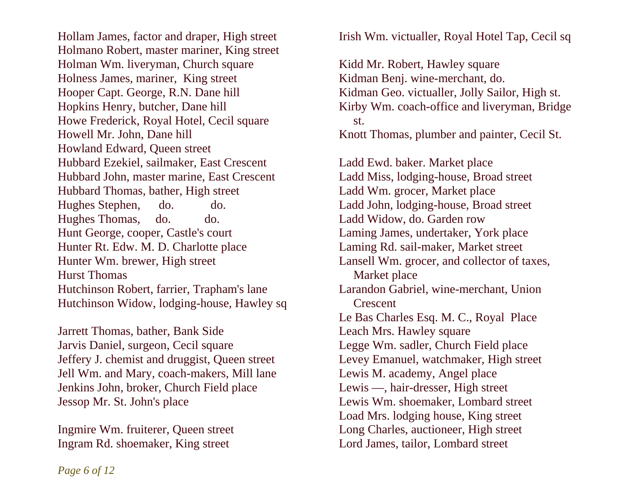Hollam James, factor and draper, High street Holmano Robert, master mariner, King street Holman Wm. liveryman, Church square Holness James, mariner, King street Hooper Capt. George, R.N. Dane hill Hopkins Henry, butcher, Dane hill Howe Frederick, Royal Hotel, Cecil square Howell Mr. John, Dane hill Howland Edward, Queen street Hubbard Ezekiel, sailmaker, East Crescent Hubbard John, master marine, East Crescent Hubbard Thomas, bather, High street Hughes Stephen, do. do. Hughes Thomas, do. do. Hunt George, cooper, Castle's court Hunter Rt. Edw. M. D. Charlotte place Hunter Wm. brewer, High street Hurst Thomas Hutchinson Robert, farrier, Trapham's lane Hutchinson Widow, lodging-house, Hawley sq

Jarrett Thomas, bather, Bank Side Jarvis Daniel, surgeon, Cecil square Jeffery J. chemist and druggist, Queen street Jell Wm. and Mary, coach-makers, Mill lane Jenkins John, broker, Church Field place Jessop Mr. St. John's place

Ingmire Wm. fruiterer, Queen street Ingram Rd. shoemaker, King street

Irish Wm. victualler, Royal Hotel Tap, Cecil sq

Kidd Mr. Robert, Hawley square Kidman Benj. wine-merchant, do. Kidman Geo. victualler, Jolly Sailor, High st. Kirby Wm. coach-office and liveryman, Bridge st. Knott Thomas, plumber and painter, Cecil St.

Ladd Ewd. baker. Market place Ladd Miss, lodging-house, Broad street Ladd Wm. grocer, Market place Ladd John, lodging-house, Broad street Ladd Widow, do. Garden row Laming James, undertaker, York place Laming Rd. sail-maker, Market street Lansell Wm. grocer, and collector of taxes, Market place Larandon Gabriel, wine-merchant, Union **Crescent** Le Bas Charles Esq. M. C., Royal Place Leach Mrs. Hawley square Legge Wm. sadler, Church Field place Levey Emanuel, watchmaker, High street Lewis M. academy, Angel place Lewis —, hair-dresser, High street Lewis Wm. shoemaker, Lombard street Load Mrs. lodging house, King street Long Charles, auctioneer, High street Lord James, tailor, Lombard street

*Page 6 of 12*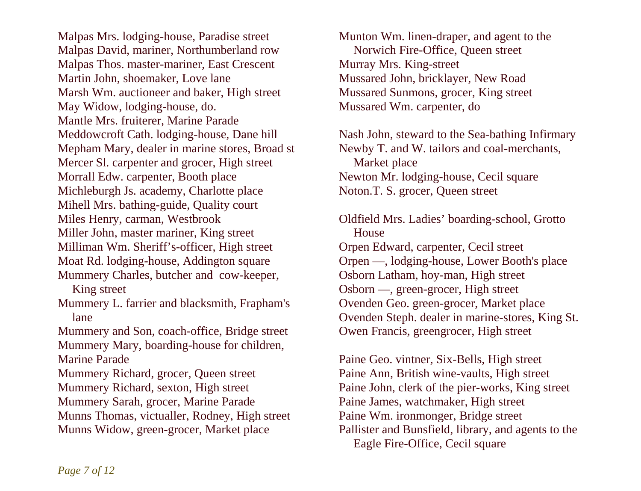Malpas Mrs. lodging-house, Paradise street Malpas David, mariner, Northumberland row Malpas Thos. master-mariner, East Crescent Martin John, shoemaker, Love lane Marsh Wm. auctioneer and baker, High street May Widow, lodging-house, do. Mantle Mrs. fruiterer, Marine Parade Meddowcroft Cath. lodging-house, Dane hill Mepham Mary, dealer in marine stores, Broad st Mercer Sl. carpenter and grocer, High street Morrall Edw. carpenter, Booth place Michleburgh Js. academy, Charlotte place Mihell Mrs. bathing-guide, Quality court Miles Henry, carman, Westbrook Miller John, master mariner, King street Milliman Wm. Sheriff's-officer, High street Moat Rd. lodging-house, Addington square Mummery Charles, butcher and cow-keeper, King street Mummery L. farrier and blacksmith, Frapham's lane Mummery and Son, coach-office, Bridge street Mummery Mary, boarding-house for children, Marine Parade Mummery Richard, grocer, Queen street Mummery Richard, sexton, High street Mummery Sarah, grocer, Marine Parade Munns Thomas, victualler, Rodney, High street Munns Widow, green-grocer, Market place

Munton Wm. linen-draper, and agent to the Norwich Fire-Office, Queen street Murray Mrs. King-street Mussared John, bricklayer, New Road Mussared Sunmons, grocer, King street Mussared Wm. carpenter, do

Nash John, steward to the Sea-bathing Infirmary Newby T. and W. tailors and coal-merchants, Market place Newton Mr. lodging-house, Cecil square Noton.T. S. grocer, Queen street

Oldfield Mrs. Ladies' boarding-school, Grotto House Orpen Edward, carpenter, Cecil street Orpen —, lodging-house, Lower Booth's place Osborn Latham, hoy-man, High street Osborn —, green-grocer, High street Ovenden Geo. green-grocer, Market place Ovenden Steph. dealer in marine-stores, King St. Owen Francis, greengrocer, High street

Paine Geo. vintner, Six-Bells, High street Paine Ann, British wine-vaults, High street Paine John, clerk of the pier-works, King street Paine James, watchmaker, High street Paine Wm. ironmonger, Bridge street Pallister and Bunsfield, library, and agents to the Eagle Fire-Office, Cecil square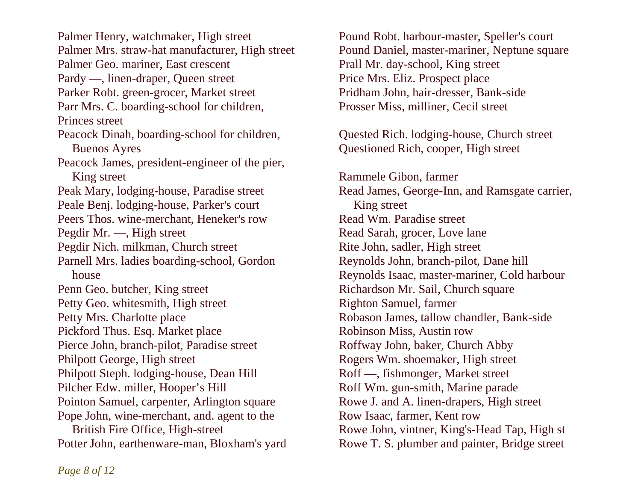Palmer Henry, watchmaker, High street Palmer Mrs. straw-hat manufacturer, High street Palmer Geo. mariner, East crescent Pardy —, linen-draper, Queen street Parker Robt. green-grocer, Market street Parr Mrs. C. boarding-school for children, Princes street Peacock Dinah, boarding-school for children, Buenos Ayres Peacock James, president-engineer of the pier, King street Peak Mary, lodging-house, Paradise street Peale Benj. lodging-house, Parker's court Peers Thos. wine-merchant, Heneker's row Pegdir Mr. —, High street Pegdir Nich. milkman, Church street Parnell Mrs. ladies boarding-school, Gordon house Penn Geo. butcher, King street Petty Geo. whitesmith, High street Petty Mrs. Charlotte place Pickford Thus. Esq. Market place Pierce John, branch-pilot, Paradise street Philpott George, High street Philpott Steph. lodging-house, Dean Hill Pilcher Edw. miller, Hooper's Hill Pointon Samuel, carpenter, Arlington square Pope John, wine-merchant, and. agent to the British Fire Office, High-street Potter John, earthenware-man, Bloxham's yard

Pound Robt. harbour-master, Speller's court Pound Daniel, master-mariner, Neptune square Prall Mr. day-school, King street Price Mrs. Eliz. Prospect place Pridham John, hair-dresser, Bank-side Prosser Miss, milliner, Cecil street

Quested Rich. lodging-house, Church street Questioned Rich, cooper, High street

Rammele Gibon, farmer Read James, George-Inn, and Ramsgate carrier, King street Read Wm. Paradise street Read Sarah, grocer, Love lane Rite John, sadler, High street Reynolds John, branch-pilot, Dane hill Reynolds Isaac, master-mariner, Cold harbour Richardson Mr. Sail, Church square Righton Samuel, farmer Robason James, tallow chandler, Bank-side Robinson Miss, Austin row Roffway John, baker, Church Abby Rogers Wm. shoemaker, High street Roff —, fishmonger, Market street Roff Wm. gun-smith, Marine parade Rowe J. and A. linen-drapers, High street Row Isaac, farmer, Kent row Rowe John, vintner, King's-Head Tap, High st Rowe T. S. plumber and painter, Bridge street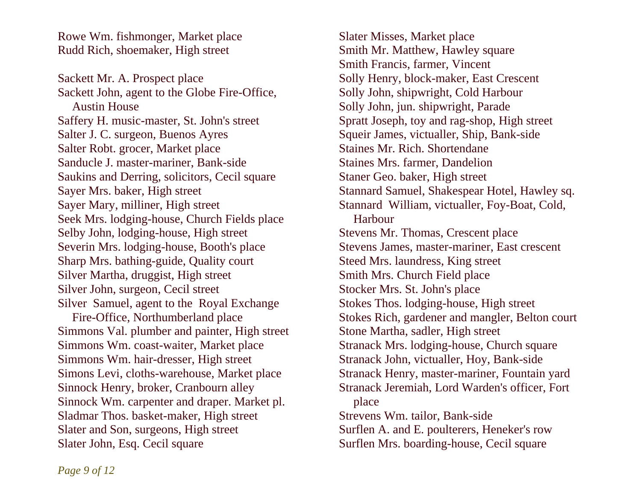Rowe Wm. fishmonger, Market place Rudd Rich, shoemaker, High street

Sackett Mr. A. Prospect place Sackett John, agent to the Globe Fire-Office, Austin House Saffery H. music-master, St. John's street Salter J. C. surgeon, Buenos Ayres Salter Robt. grocer, Market place Sanducle J. master-mariner, Bank-side Saukins and Derring, solicitors, Cecil square Sayer Mrs. baker, High street Sayer Mary, milliner, High street Seek Mrs. lodging-house, Church Fields place Selby John, lodging-house, High street Severin Mrs. lodging-house, Booth's place Sharp Mrs. bathing-guide, Quality court Silver Martha, druggist, High street Silver John, surgeon, Cecil street Silver Samuel, agent to the Royal Exchange Fire-Office, Northumberland place

Simmons Val. plumber and painter, High street Simmons Wm. coast-waiter, Market place Simmons Wm. hair-dresser, High street Simons Levi, cloths-warehouse, Market place Sinnock Henry, broker, Cranbourn alley Sinnock Wm. carpenter and draper. Market pl. Sladmar Thos. basket-maker, High street Slater and Son, surgeons, High street Slater John, Esq. Cecil square

Slater Misses, Market place Smith Mr. Matthew, Hawley square Smith Francis, farmer, Vincent Solly Henry, block-maker, East Crescent Solly John, shipwright, Cold Harbour Solly John, jun. shipwright, Parade Spratt Joseph, toy and rag-shop, High street Squeir James, victualler, Ship, Bank-side Staines Mr. Rich. Shortendane Staines Mrs. farmer, Dandelion Staner Geo. baker, High street Stannard Samuel, Shakespear Hotel, Hawley sq. Stannard William, victualler, Foy-Boat, Cold, Harbour Stevens Mr. Thomas, Crescent place Stevens James, master-mariner, East crescent Steed Mrs. laundress, King street Smith Mrs. Church Field place Stocker Mrs. St. John's place Stokes Thos. lodging-house, High street Stokes Rich, gardener and mangler, Belton court Stone Martha, sadler, High street Stranack Mrs. lodging-house, Church square Stranack John, victualler, Hoy, Bank-side Stranack Henry, master-mariner, Fountain yard Stranack Jeremiah, Lord Warden's officer, Fort place Strevens Wm. tailor, Bank-side Surflen A. and E. poulterers, Heneker's row Surflen Mrs. boarding-house, Cecil square

*Page 9 of 12*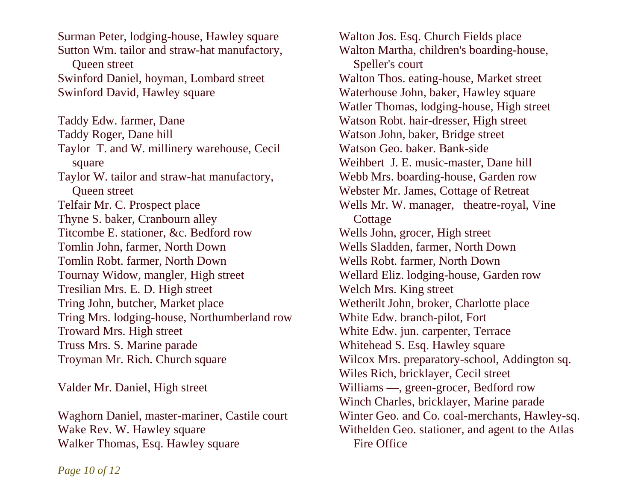Surman Peter, lodging-house, Hawley square Sutton Wm. tailor and straw-hat manufactory, Queen street Swinford Daniel, hoyman, Lombard street Swinford David, Hawley square

Taddy Edw. farmer, Dane Taddy Roger, Dane hill Taylor T. and W. millinery warehouse, Cecil square Taylor W. tailor and straw-hat manufactory, Queen street Telfair Mr. C. Prospect place Thyne S. baker, Cranbourn alley Titcombe E. stationer, &c. Bedford row Tomlin John, farmer, North Down Tomlin Robt. farmer, North Down Tournay Widow, mangler, High street Tresilian Mrs. E. D. High street Tring John, butcher, Market place Tring Mrs. lodging-house, Northumberland row Troward Mrs. High street Truss Mrs. S. Marine parade Troyman Mr. Rich. Church square

Valder Mr. Daniel, High street

Waghorn Daniel, master-mariner, Castile court Wake Rev. W. Hawley square Walker Thomas, Esq. Hawley square

Walton Jos. Esq. Church Fields place Walton Martha, children's boarding-house, Speller's court Walton Thos. eating-house, Market street Waterhouse John, baker, Hawley square Watler Thomas, lodging-house, High street Watson Robt. hair-dresser, High street Watson John, baker, Bridge street Watson Geo. baker. Bank-side Weihbert J. E. music-master, Dane hill Webb Mrs. boarding-house, Garden row Webster Mr. James, Cottage of Retreat Wells Mr. W. manager, theatre-royal, Vine **Cottage** Wells John, grocer, High street Wells Sladden, farmer, North Down Wells Robt. farmer, North Down Wellard Eliz. lodging-house, Garden row Welch Mrs. King street Wetherilt John, broker, Charlotte place White Edw. branch-pilot, Fort White Edw. jun. carpenter, Terrace Whitehead S. Esq. Hawley square Wilcox Mrs. preparatory-school, Addington sq. Wiles Rich, bricklayer, Cecil street Williams —, green-grocer, Bedford row Winch Charles, bricklayer, Marine parade Winter Geo. and Co. coal-merchants, Hawley-sq. Withelden Geo. stationer, and agent to the Atlas Fire Office

*Page 10 of 12*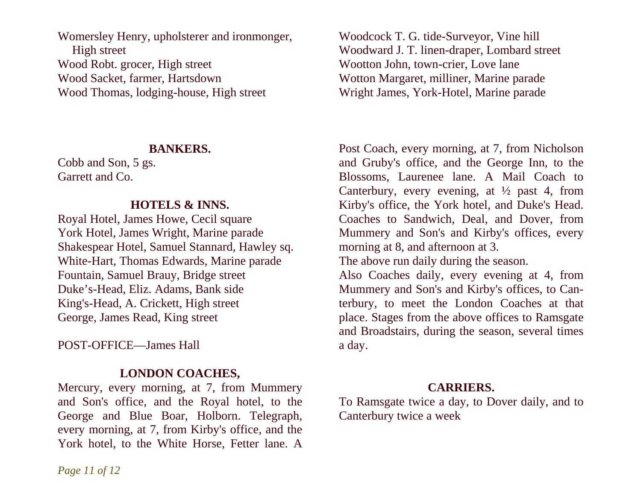Womersley Henry, upholsterer and ironmonger, High street Wood Robt. grocer, High street Wood Sacket, farmer, Hartsdown Wood Thomas, lodging-house, High street

#### **BANKERS.**

Cobb and Son, 5 gs. Garrett and Co.

# **HOTELS & INNS.**

Royal Hotel, James Howe, Cecil square York Hotel, James Wright, Marine parade Shakespear Hotel, Samuel Stannard, Hawley sq. White-Hart, Thomas Edwards, Marine parade Fountain, Samuel Brauy, Bridge street Duke's-Head, Eliz. Adams, Bank side King's-Head, A. Crickett, High street George, James Read, King street

POST-OFFICE—James Hall

# **LONDON COACHES,**

Mercury, every morning, at 7, from Mummery and Son's office, and the Royal hotel, to the George and Blue Boar, Holborn. Telegraph, every morning, at 7, from Kirby's office, and the York hotel, to the White Horse, Fetter lane. A Woodcock T. G. tide-Surveyor, Vine hill Woodward J. T. linen-draper, Lombard street Wootton John, town-crier, Love lane Wotton Margaret, milliner, Marine parade Wright James, York-Hotel, Marine parade

Post Coach, every morning, at 7, from Nicholson and Gruby's office, and the George Inn, to the Blossoms, Laurenee lane. A Mail Coach to Canterbury, every evening, at  $\frac{1}{2}$  past 4, from Kirby's office, the York hotel, and Duke's Head. Coaches to Sandwich, Deal, and Dover, from Mummery and Son's and Kirby's offices, every morning at 8, and afternoon at 3.

The above run daily during the season.

Also Coaches daily, every evening at 4, from Mummery and Son's and Kirby's offices, to Canterbury, to meet the London Coaches at that place. Stages from the above offices to Ramsgate and Broadstairs, during the season, several times a day.

## **CARRIERS.**

To Ramsgate twice a day, to Dover daily, and to Canterbury twice a week

*Page 11 of 12*